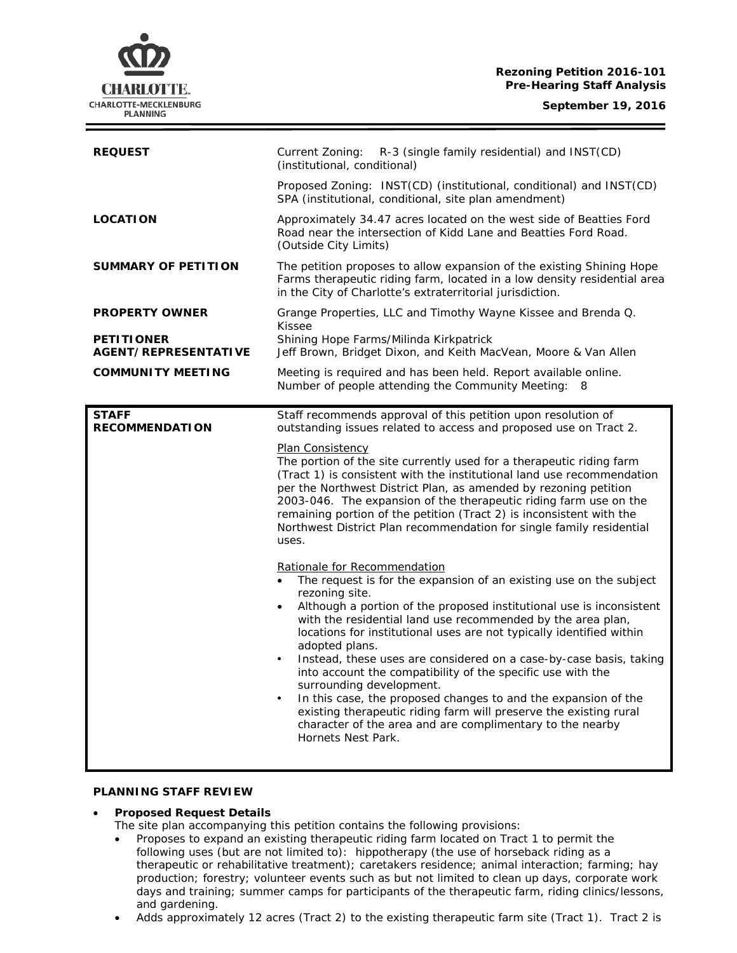**Rezoning Petition 2016-101 Pre-Hearing Staff Analysis**

| <b>REQUEST</b>                            | Current Zoning:<br>R-3 (single family residential) and INST(CD)<br>(institutional, conditional)                                                                                                                                                                                                                                                                                                                                                                                                                                                                                                                                                                                                                                                                                                                                                                                                                                                                                                                                                                                                                                                                                                                                                                                                                                                                                    |
|-------------------------------------------|------------------------------------------------------------------------------------------------------------------------------------------------------------------------------------------------------------------------------------------------------------------------------------------------------------------------------------------------------------------------------------------------------------------------------------------------------------------------------------------------------------------------------------------------------------------------------------------------------------------------------------------------------------------------------------------------------------------------------------------------------------------------------------------------------------------------------------------------------------------------------------------------------------------------------------------------------------------------------------------------------------------------------------------------------------------------------------------------------------------------------------------------------------------------------------------------------------------------------------------------------------------------------------------------------------------------------------------------------------------------------------|
|                                           | Proposed Zoning: INST(CD) (institutional, conditional) and INST(CD)<br>SPA (institutional, conditional, site plan amendment)                                                                                                                                                                                                                                                                                                                                                                                                                                                                                                                                                                                                                                                                                                                                                                                                                                                                                                                                                                                                                                                                                                                                                                                                                                                       |
| <b>LOCATION</b>                           | Approximately 34.47 acres located on the west side of Beatties Ford<br>Road near the intersection of Kidd Lane and Beatties Ford Road.<br>(Outside City Limits)                                                                                                                                                                                                                                                                                                                                                                                                                                                                                                                                                                                                                                                                                                                                                                                                                                                                                                                                                                                                                                                                                                                                                                                                                    |
| <b>SUMMARY OF PETITION</b>                | The petition proposes to allow expansion of the existing Shining Hope<br>Farms therapeutic riding farm, located in a low density residential area<br>in the City of Charlotte's extraterritorial jurisdiction.                                                                                                                                                                                                                                                                                                                                                                                                                                                                                                                                                                                                                                                                                                                                                                                                                                                                                                                                                                                                                                                                                                                                                                     |
| <b>PROPERTY OWNER</b>                     | Grange Properties, LLC and Timothy Wayne Kissee and Brenda Q.<br><b>Kissee</b>                                                                                                                                                                                                                                                                                                                                                                                                                                                                                                                                                                                                                                                                                                                                                                                                                                                                                                                                                                                                                                                                                                                                                                                                                                                                                                     |
| <b>PETITIONER</b><br>AGENT/REPRESENTATIVE | Shining Hope Farms/Milinda Kirkpatrick<br>Jeff Brown, Bridget Dixon, and Keith MacVean, Moore & Van Allen                                                                                                                                                                                                                                                                                                                                                                                                                                                                                                                                                                                                                                                                                                                                                                                                                                                                                                                                                                                                                                                                                                                                                                                                                                                                          |
| <b>COMMUNITY MEETING</b>                  | Meeting is required and has been held. Report available online.<br>Number of people attending the Community Meeting: 8                                                                                                                                                                                                                                                                                                                                                                                                                                                                                                                                                                                                                                                                                                                                                                                                                                                                                                                                                                                                                                                                                                                                                                                                                                                             |
| <b>STAFF</b><br><b>RECOMMENDATION</b>     | Staff recommends approval of this petition upon resolution of<br>outstanding issues related to access and proposed use on Tract 2.<br><b>Plan Consistency</b><br>The portion of the site currently used for a therapeutic riding farm<br>(Tract 1) is consistent with the institutional land use recommendation<br>per the Northwest District Plan, as amended by rezoning petition<br>2003-046. The expansion of the therapeutic riding farm use on the<br>remaining portion of the petition (Tract 2) is inconsistent with the<br>Northwest District Plan recommendation for single family residential<br>uses.<br>Rationale for Recommendation<br>The request is for the expansion of an existing use on the subject<br>rezoning site.<br>Although a portion of the proposed institutional use is inconsistent<br>$\bullet$<br>with the residential land use recommended by the area plan,<br>locations for institutional uses are not typically identified within<br>adopted plans.<br>Instead, these uses are considered on a case-by-case basis, taking<br>into account the compatibility of the specific use with the<br>surrounding development.<br>In this case, the proposed changes to and the expansion of the<br>existing therapeutic riding farm will preserve the existing rural<br>character of the area and are complimentary to the nearby<br>Hornets Nest Park. |
|                                           |                                                                                                                                                                                                                                                                                                                                                                                                                                                                                                                                                                                                                                                                                                                                                                                                                                                                                                                                                                                                                                                                                                                                                                                                                                                                                                                                                                                    |

#### **PLANNING STAFF REVIEW**

## • **Proposed Request Details**

- The site plan accompanying this petition contains the following provisions:
- Proposes to expand an existing therapeutic riding farm located on Tract 1 to permit the following uses (but are not limited to): hippotherapy (the use of horseback riding as a therapeutic or rehabilitative treatment); caretakers residence; animal interaction; farming; hay production; forestry; volunteer events such as but not limited to clean up days, corporate work days and training; summer camps for participants of the therapeutic farm, riding clinics/lessons, and gardening.
- Adds approximately 12 acres (Tract 2) to the existing therapeutic farm site (Tract 1). Tract 2 is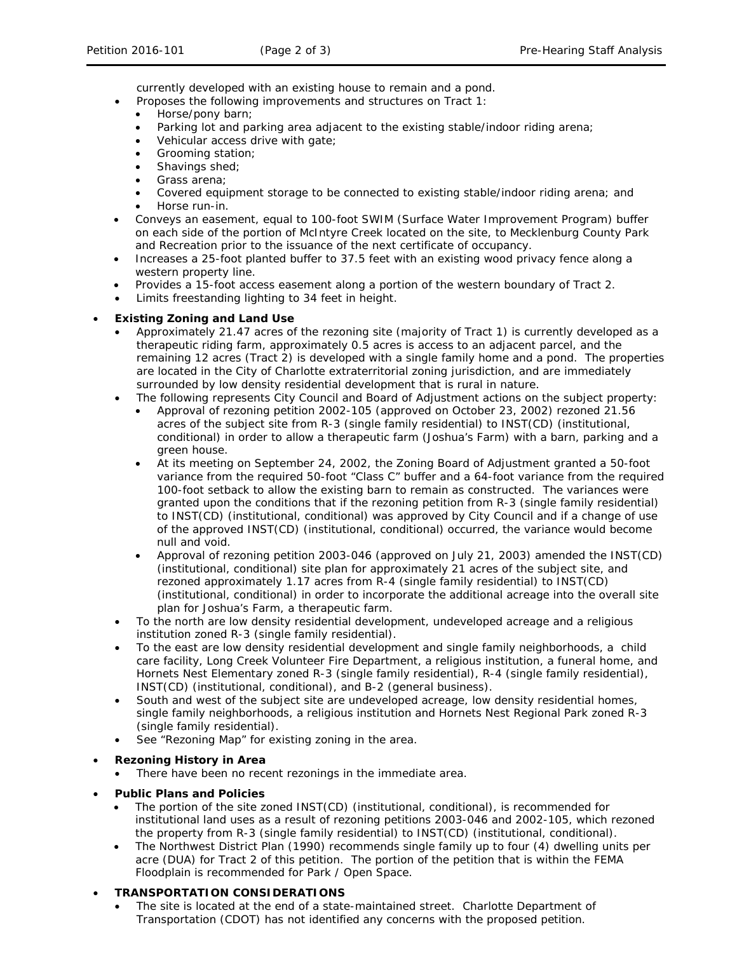currently developed with an existing house to remain and a pond.

- Proposes the following improvements and structures on Tract 1:
	- Horse/pony barn;
- Parking lot and parking area adjacent to the existing stable/indoor riding arena;
- Vehicular access drive with gate;
- Grooming station;
- Shavings shed;
- Grass arena;
- Covered equipment storage to be connected to existing stable/indoor riding arena; and
	- Horse run-in.
- Conveys an easement, equal to 100-foot SWIM (Surface Water Improvement Program) buffer on each side of the portion of McIntyre Creek located on the site, to Mecklenburg County Park and Recreation prior to the issuance of the next certificate of occupancy.
- Increases a 25-foot planted buffer to 37.5 feet with an existing wood privacy fence along a western property line.
- Provides a 15-foot access easement along a portion of the western boundary of Tract 2.
- Limits freestanding lighting to 34 feet in height.

## • **Existing Zoning and Land Use**

- Approximately 21.47 acres of the rezoning site (majority of Tract 1) is currently developed as a therapeutic riding farm, approximately 0.5 acres is access to an adjacent parcel, and the remaining 12 acres (Tract 2) is developed with a single family home and a pond. The properties are located in the City of Charlotte extraterritorial zoning jurisdiction, and are immediately surrounded by low density residential development that is rural in nature.
- The following represents City Council and Board of Adjustment actions on the subject property:
	- Approval of rezoning petition 2002-105 (approved on October 23, 2002) rezoned 21.56 acres of the subject site from R-3 (single family residential) to INST(CD) (institutional, conditional) in order to allow a therapeutic farm (Joshua's Farm) with a barn, parking and a green house.
	- At its meeting on September 24, 2002, the Zoning Board of Adjustment granted a 50-foot variance from the required 50-foot "Class C" buffer and a 64-foot variance from the required 100-foot setback to allow the existing barn to remain as constructed. The variances were granted upon the conditions that if the rezoning petition from R-3 (single family residential) to INST(CD) (institutional, conditional) was approved by City Council and if a change of use of the approved INST(CD) (institutional, conditional) occurred, the variance would become null and void.
	- Approval of rezoning petition 2003-046 (approved on July 21, 2003) amended the INST(CD) (institutional, conditional) site plan for approximately 21 acres of the subject site, and rezoned approximately 1.17 acres from R-4 (single family residential) to INST(CD) (institutional, conditional) in order to incorporate the additional acreage into the overall site plan for Joshua's Farm, a therapeutic farm.
- To the north are low density residential development, undeveloped acreage and a religious institution zoned R-3 (single family residential).
- To the east are low density residential development and single family neighborhoods, a child care facility, Long Creek Volunteer Fire Department, a religious institution, a funeral home, and Hornets Nest Elementary zoned R-3 (single family residential), R-4 (single family residential), INST(CD) (institutional, conditional), and B-2 (general business).
- South and west of the subject site are undeveloped acreage, low density residential homes, single family neighborhoods, a religious institution and Hornets Nest Regional Park zoned R-3 (single family residential).
- See "Rezoning Map" for existing zoning in the area.

#### • **Rezoning History in Area**

- There have been no recent rezonings in the immediate area.
- **Public Plans and Policies**
	- The portion of the site zoned INST(CD) (institutional, conditional), is recommended for institutional land uses as a result of rezoning petitions 2003-046 and 2002-105, which rezoned the property from R-3 (single family residential) to INST(CD) (institutional, conditional).
	- The *Northwest District Plan* (1990) recommends single family up to four (4) dwelling units per acre (DUA) for Tract 2 of this petition. The portion of the petition that is within the FEMA Floodplain is recommended for Park / Open Space.

#### • **TRANSPORTATION CONSIDERATIONS**

The site is located at the end of a state-maintained street. Charlotte Department of Transportation (CDOT) has not identified any concerns with the proposed petition.